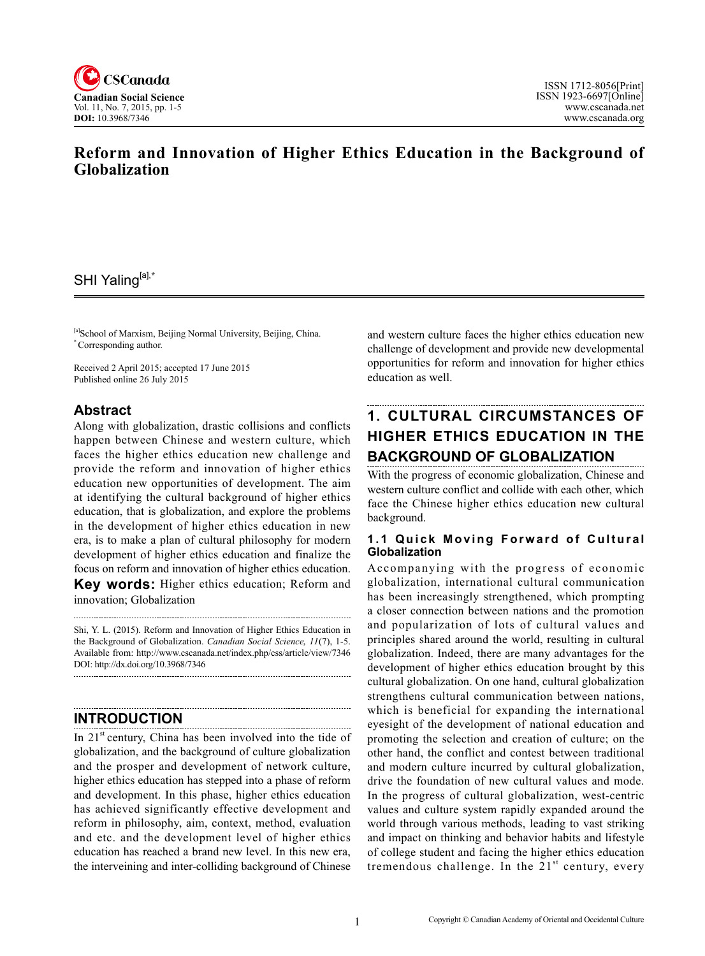

# **Reform and Innovation of Higher Ethics Education in the Background of Globalization**

# SHI Yaling[a],**\***

[a]School of Marxism, Beijing Normal University, Beijing, China. \* Corresponding author.

Received 2 April 2015; accepted 17 June 2015 Published online 26 July 2015

## **Abstract**

Along with globalization, drastic collisions and conflicts happen between Chinese and western culture, which faces the higher ethics education new challenge and provide the reform and innovation of higher ethics education new opportunities of development. The aim at identifying the cultural background of higher ethics education, that is globalization, and explore the problems in the development of higher ethics education in new era, is to make a plan of cultural philosophy for modern development of higher ethics education and finalize the focus on reform and innovation of higher ethics education. **Key words:** Higher ethics education; Reform and innovation; Globalization

Shi, Y. L. (2015). Reform and Innovation of Higher Ethics Education in the Background of Globalization. *Canadian Social Science*, <sup>11</sup>(7), 1-5. Available from: http://www.cscanada.net/index.php/css/article/view/7346 DOI: http://dx.doi.org/10.3968/7346

# **INTRODUCTION**

In  $21<sup>st</sup>$  century, China has been involved into the tide of globalization, and the background of culture globalization and the prosper and development of network culture, higher ethics education has stepped into a phase of reform and development. In this phase, higher ethics education has achieved significantly effective development and reform in philosophy, aim, context, method, evaluation and etc. and the development level of higher ethics education has reached a brand new level. In this new era, the interveining and inter-colliding background of Chinese

and western culture faces the higher ethics education new challenge of development and provide new developmental opportunities for reform and innovation for higher ethics education as well.

# **1. CULTURAL CIRCUMSTANCES OF HIGHER ETHICS EDUCATION IN THE BACKGROUND OF GLOBALIZATION**

With the progress of economic globalization, Chinese and western culture conflict and collide with each other, which face the Chinese higher ethics education new cultural background.

#### **1.1 Quick Moving Forward of Cultural Globalization**

Accompanying with the progress of economic globalization, international cultural communication has been increasingly strengthened, which prompting a closer connection between nations and the promotion and popularization of lots of cultural values and principles shared around the world, resulting in cultural globalization. Indeed, there are many advantages for the development of higher ethics education brought by this cultural globalization. On one hand, cultural globalization strengthens cultural communication between nations, which is beneficial for expanding the international eyesight of the development of national education and promoting the selection and creation of culture; on the other hand, the conflict and contest between traditional and modern culture incurred by cultural globalization, drive the foundation of new cultural values and mode. In the progress of cultural globalization, west-centric values and culture system rapidly expanded around the world through various methods, leading to vast striking and impact on thinking and behavior habits and lifestyle of college student and facing the higher ethics education tremendous challenge. In the  $21<sup>st</sup>$  century, every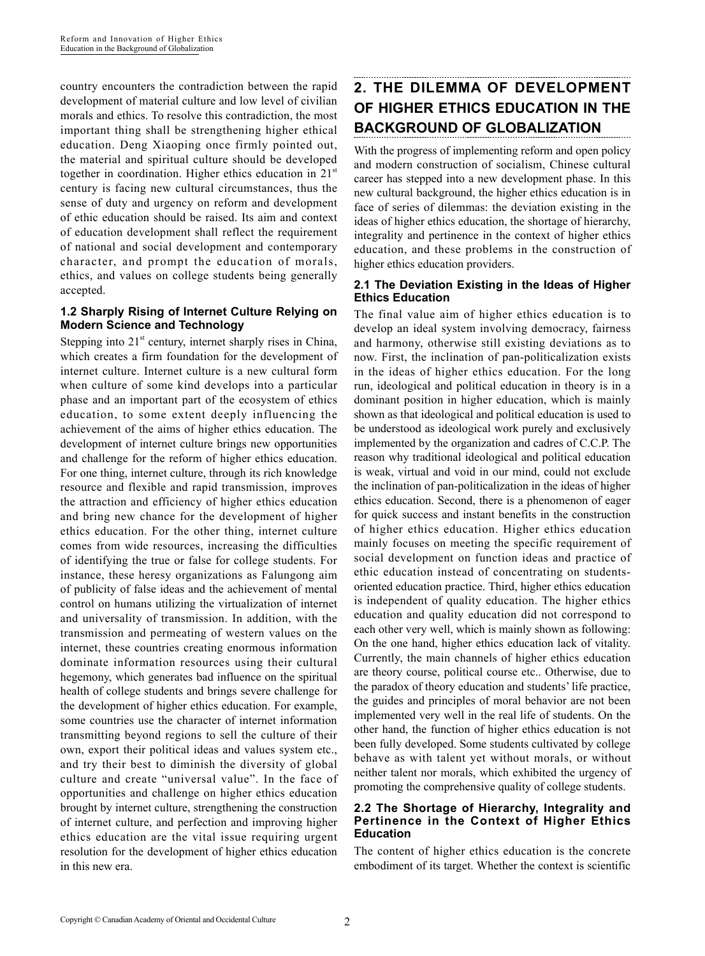country encounters the contradiction between the rapid development of material culture and low level of civilian morals and ethics. To resolve this contradiction, the most important thing shall be strengthening higher ethical education. Deng Xiaoping once firmly pointed out, the material and spiritual culture should be developed together in coordination. Higher ethics education in  $21<sup>st</sup>$ century is facing new cultural circumstances, thus the sense of duty and urgency on reform and development of ethic education should be raised. Its aim and context of education development shall reflect the requirement of national and social development and contemporary character, and prompt the education of morals, ethics, and values on college students being generally accepted.

#### **1.2 Sharply Rising of Internet Culture Relying on Modern Science and Technology**

Stepping into  $21<sup>st</sup>$  century, internet sharply rises in China, which creates a firm foundation for the development of internet culture. Internet culture is a new cultural form when culture of some kind develops into a particular phase and an important part of the ecosystem of ethics education, to some extent deeply influencing the achievement of the aims of higher ethics education. The development of internet culture brings new opportunities and challenge for the reform of higher ethics education. For one thing, internet culture, through its rich knowledge resource and flexible and rapid transmission, improves the attraction and efficiency of higher ethics education and bring new chance for the development of higher ethics education. For the other thing, internet culture comes from wide resources, increasing the difficulties of identifying the true or false for college students. For instance, these heresy organizations as Falungong aim of publicity of false ideas and the achievement of mental control on humans utilizing the virtualization of internet and universality of transmission. In addition, with the transmission and permeating of western values on the internet, these countries creating enormous information dominate information resources using their cultural hegemony, which generates bad influence on the spiritual health of college students and brings severe challenge for the development of higher ethics education. For example, some countries use the character of internet information transmitting beyond regions to sell the culture of their own, export their political ideas and values system etc., and try their best to diminish the diversity of global culture and create "universal value". In the face of opportunities and challenge on higher ethics education brought by internet culture, strengthening the construction of internet culture, and perfection and improving higher ethics education are the vital issue requiring urgent resolution for the development of higher ethics education in this new era.

# **2. THE DILEMMA OF DEVELOPMENT OF HIGHER ETHICS EDUCATION IN THE BACKGROUND OF GLOBALIZATION**

With the progress of implementing reform and open policy and modern construction of socialism, Chinese cultural career has stepped into a new development phase. In this new cultural background, the higher ethics education is in face of series of dilemmas: the deviation existing in the ideas of higher ethics education, the shortage of hierarchy, integrality and pertinence in the context of higher ethics education, and these problems in the construction of higher ethics education providers.

## **2.1 The Deviation Existing in the Ideas of Higher Ethics Education**

The final value aim of higher ethics education is to develop an ideal system involving democracy, fairness and harmony, otherwise still existing deviations as to now. First, the inclination of pan-politicalization exists in the ideas of higher ethics education. For the long run, ideological and political education in theory is in a dominant position in higher education, which is mainly shown as that ideological and political education is used to be understood as ideological work purely and exclusively implemented by the organization and cadres of C.C.P. The reason why traditional ideological and political education is weak, virtual and void in our mind, could not exclude the inclination of pan-politicalization in the ideas of higher ethics education. Second, there is a phenomenon of eager for quick success and instant benefits in the construction of higher ethics education. Higher ethics education mainly focuses on meeting the specific requirement of social development on function ideas and practice of ethic education instead of concentrating on studentsoriented education practice. Third, higher ethics education is independent of quality education. The higher ethics education and quality education did not correspond to each other very well, which is mainly shown as following: On the one hand, higher ethics education lack of vitality. Currently, the main channels of higher ethics education are theory course, political course etc.. Otherwise, due to the paradox of theory education and students' life practice, the guides and principles of moral behavior are not been implemented very well in the real life of students. On the other hand, the function of higher ethics education is not been fully developed. Some students cultivated by college behave as with talent yet without morals, or without neither talent nor morals, which exhibited the urgency of promoting the comprehensive quality of college students.

#### **2.2 The Shortage of Hierarchy, Integrality and Pertinence in the Context of Higher Ethics Education**

The content of higher ethics education is the concrete embodiment of its target. Whether the context is scientific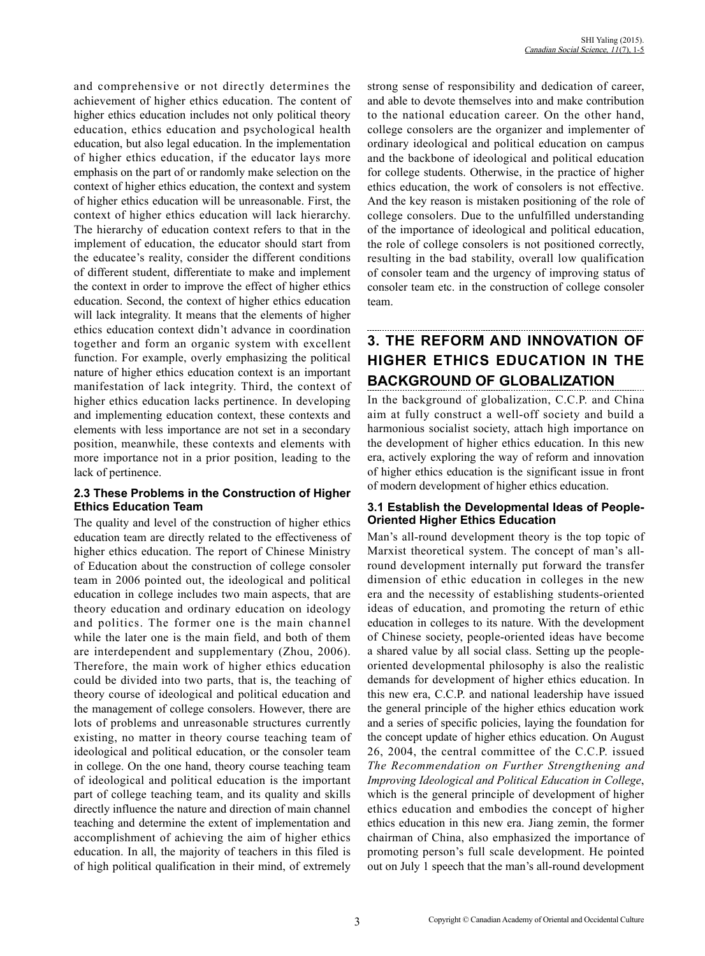and comprehensive or not directly determines the achievement of higher ethics education. The content of higher ethics education includes not only political theory education, ethics education and psychological health education, but also legal education. In the implementation of higher ethics education, if the educator lays more emphasis on the part of or randomly make selection on the context of higher ethics education, the context and system of higher ethics education will be unreasonable. First, the context of higher ethics education will lack hierarchy. The hierarchy of education context refers to that in the implement of education, the educator should start from the educatee's reality, consider the different conditions of different student, differentiate to make and implement the context in order to improve the effect of higher ethics education. Second, the context of higher ethics education will lack integrality. It means that the elements of higher ethics education context didn't advance in coordination together and form an organic system with excellent function. For example, overly emphasizing the political nature of higher ethics education context is an important manifestation of lack integrity. Third, the context of higher ethics education lacks pertinence. In developing and implementing education context, these contexts and elements with less importance are not set in a secondary position, meanwhile, these contexts and elements with more importance not in a prior position, leading to the lack of pertinence.

#### **2.3 These Problems in the Construction of Higher Ethics Education Team**

The quality and level of the construction of higher ethics education team are directly related to the effectiveness of higher ethics education. The report of Chinese Ministry of Education about the construction of college consoler team in 2006 pointed out, the ideological and political education in college includes two main aspects, that are theory education and ordinary education on ideology and politics. The former one is the main channel while the later one is the main field, and both of them are interdependent and supplementary (Zhou, 2006). Therefore, the main work of higher ethics education could be divided into two parts, that is, the teaching of theory course of ideological and political education and the management of college consolers. However, there are lots of problems and unreasonable structures currently existing, no matter in theory course teaching team of ideological and political education, or the consoler team in college. On the one hand, theory course teaching team of ideological and political education is the important part of college teaching team, and its quality and skills directly influence the nature and direction of main channel teaching and determine the extent of implementation and accomplishment of achieving the aim of higher ethics education. In all, the majority of teachers in this filed is of high political qualification in their mind, of extremely strong sense of responsibility and dedication of career, and able to devote themselves into and make contribution to the national education career. On the other hand, college consolers are the organizer and implementer of ordinary ideological and political education on campus and the backbone of ideological and political education for college students. Otherwise, in the practice of higher ethics education, the work of consolers is not effective. And the key reason is mistaken positioning of the role of college consolers. Due to the unfulfilled understanding of the importance of ideological and political education, the role of college consolers is not positioned correctly, resulting in the bad stability, overall low qualification of consoler team and the urgency of improving status of consoler team etc. in the construction of college consoler team.

# **3. THE REFORM AND INNOVATION OF HIGHER ETHICS EDUCATION IN THE BACKGROUND OF GLOBALIZATION**

In the background of globalization, C.C.P. and China aim at fully construct a well-off society and build a harmonious socialist society, attach high importance on the development of higher ethics education. In this new era, actively exploring the way of reform and innovation of higher ethics education is the significant issue in front of modern development of higher ethics education.

## **3.1 Establish the Developmental Ideas of People-Oriented Higher Ethics Education**

Man's all-round development theory is the top topic of Marxist theoretical system. The concept of man's allround development internally put forward the transfer dimension of ethic education in colleges in the new era and the necessity of establishing students-oriented ideas of education, and promoting the return of ethic education in colleges to its nature. With the development of Chinese society, people-oriented ideas have become a shared value by all social class. Setting up the peopleoriented developmental philosophy is also the realistic demands for development of higher ethics education. In this new era, C.C.P. and national leadership have issued the general principle of the higher ethics education work and a series of specific policies, laying the foundation for the concept update of higher ethics education. On August 26, 2004, the central committee of the C.C.P. issued *The Recommendation on Further Strengthening and Improving Ideological and Political Education in College*, which is the general principle of development of higher ethics education and embodies the concept of higher ethics education in this new era. Jiang zemin, the former chairman of China, also emphasized the importance of promoting person's full scale development. He pointed out on July 1 speech that the man's all-round development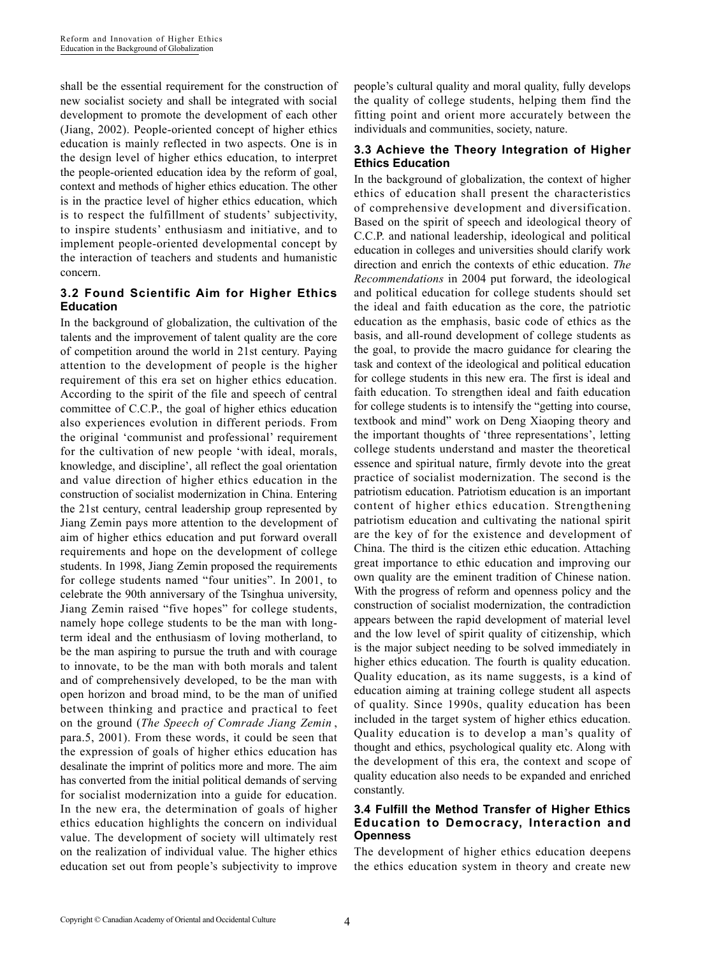shall be the essential requirement for the construction of new socialist society and shall be integrated with social development to promote the development of each other (Jiang, 2002). People-oriented concept of higher ethics education is mainly reflected in two aspects. One is in the design level of higher ethics education, to interpret the people-oriented education idea by the reform of goal, context and methods of higher ethics education. The other is in the practice level of higher ethics education, which is to respect the fulfillment of students' subjectivity, to inspire students' enthusiasm and initiative, and to implement people-oriented developmental concept by the interaction of teachers and students and humanistic concern.

## **3.2 Found Scientific Aim for Higher Ethics Education**

In the background of globalization, the cultivation of the talents and the improvement of talent quality are the core of competition around the world in 21st century. Paying attention to the development of people is the higher requirement of this era set on higher ethics education. According to the spirit of the file and speech of central committee of C.C.P., the goal of higher ethics education also experiences evolution in different periods. From the original 'communist and professional' requirement for the cultivation of new people 'with ideal, morals, knowledge, and discipline', all reflect the goal orientation and value direction of higher ethics education in the construction of socialist modernization in China. Entering the 21st century, central leadership group represented by Jiang Zemin pays more attention to the development of aim of higher ethics education and put forward overall requirements and hope on the development of college students. In 1998, Jiang Zemin proposed the requirements for college students named "four unities". In 2001, to celebrate the 90th anniversary of the Tsinghua university, Jiang Zemin raised "five hopes" for college students, namely hope college students to be the man with longterm ideal and the enthusiasm of loving motherland, to be the man aspiring to pursue the truth and with courage to innovate, to be the man with both morals and talent and of comprehensively developed, to be the man with open horizon and broad mind, to be the man of unified between thinking and practice and practical to feet on the ground (*The Speech of Comrade Jiang Zemin* , para.5, 2001). From these words, it could be seen that the expression of goals of higher ethics education has desalinate the imprint of politics more and more. The aim has converted from the initial political demands of serving for socialist modernization into a guide for education. In the new era, the determination of goals of higher ethics education highlights the concern on individual value. The development of society will ultimately rest on the realization of individual value. The higher ethics education set out from people's subjectivity to improve people's cultural quality and moral quality, fully develops the quality of college students, helping them find the fitting point and orient more accurately between the individuals and communities, society, nature.

## **3.3 Achieve the Theory Integration of Higher Ethics Education**

In the background of globalization, the context of higher ethics of education shall present the characteristics of comprehensive development and diversification. Based on the spirit of speech and ideological theory of C.C.P. and national leadership, ideological and political education in colleges and universities should clarify work direction and enrich the contexts of ethic education. *The Recommendations* in 2004 put forward, the ideological and political education for college students should set the ideal and faith education as the core, the patriotic education as the emphasis, basic code of ethics as the basis, and all-round development of college students as the goal, to provide the macro guidance for clearing the task and context of the ideological and political education for college students in this new era. The first is ideal and faith education. To strengthen ideal and faith education for college students is to intensify the "getting into course, textbook and mind" work on Deng Xiaoping theory and the important thoughts of 'three representations', letting college students understand and master the theoretical essence and spiritual nature, firmly devote into the great practice of socialist modernization. The second is the patriotism education. Patriotism education is an important content of higher ethics education. Strengthening patriotism education and cultivating the national spirit are the key of for the existence and development of China. The third is the citizen ethic education. Attaching great importance to ethic education and improving our own quality are the eminent tradition of Chinese nation. With the progress of reform and openness policy and the construction of socialist modernization, the contradiction appears between the rapid development of material level and the low level of spirit quality of citizenship, which is the major subject needing to be solved immediately in higher ethics education. The fourth is quality education. Quality education, as its name suggests, is a kind of education aiming at training college student all aspects of quality. Since 1990s, quality education has been included in the target system of higher ethics education. Quality education is to develop a man's quality of thought and ethics, psychological quality etc. Along with the development of this era, the context and scope of quality education also needs to be expanded and enriched constantly.

#### **3.4 Fulfill the Method Transfer of Higher Ethics Education to Democracy, Interaction and Openness**

The development of higher ethics education deepens the ethics education system in theory and create new